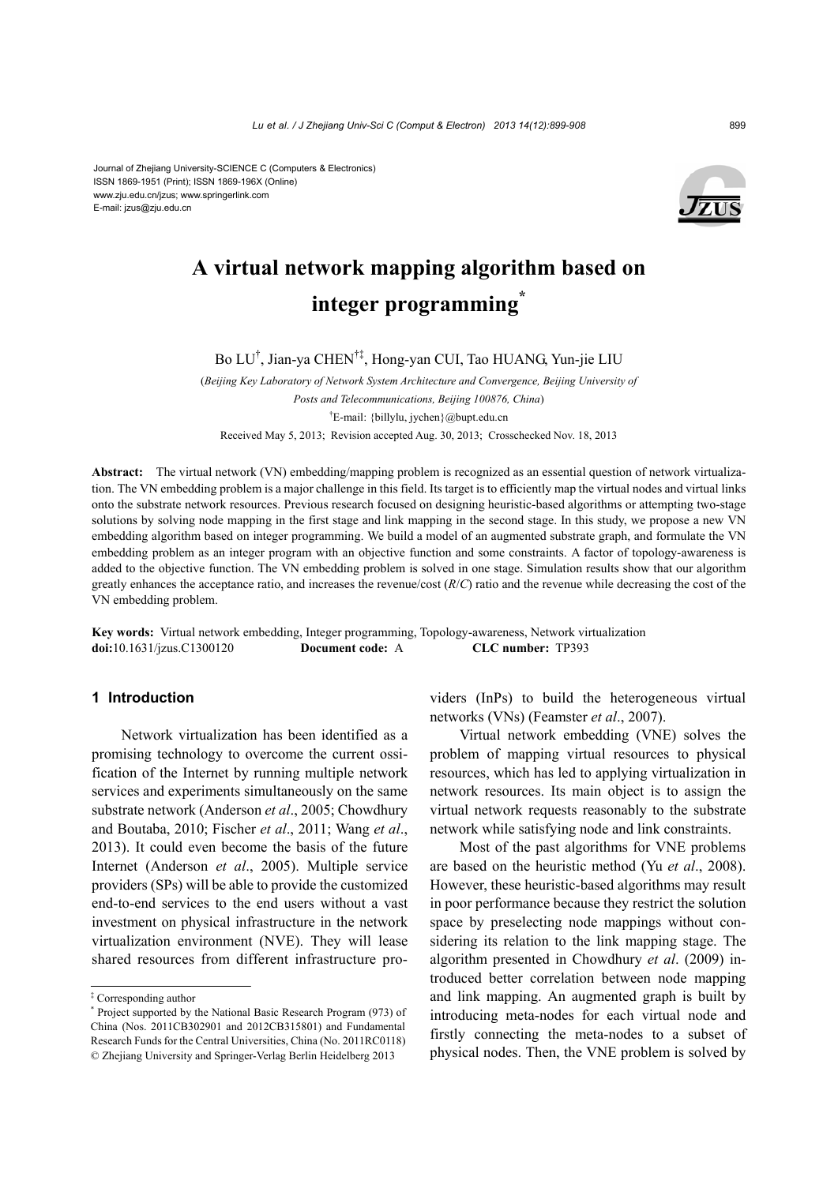

# **A virtual network mapping algorithm based on integer programming\***

Bo LU† , Jian-ya CHEN†‡, Hong-yan CUI, Tao HUANG, Yun-jie LIU

(*Beijing Key Laboratory of Network System Architecture and Convergence, Beijing University of Posts and Telecommunications, Beijing 100876, China*)

† E-mail: {billylu, jychen}@bupt.edu.cn

Received May 5, 2013; Revision accepted Aug. 30, 2013; Crosschecked Nov. 18, 2013

**Abstract:** The virtual network (VN) embedding/mapping problem is recognized as an essential question of network virtualization. The VN embedding problem is a major challenge in this field. Its target is to efficiently map the virtual nodes and virtual links onto the substrate network resources. Previous research focused on designing heuristic-based algorithms or attempting two-stage solutions by solving node mapping in the first stage and link mapping in the second stage. In this study, we propose a new VN embedding algorithm based on integer programming. We build a model of an augmented substrate graph, and formulate the VN embedding problem as an integer program with an objective function and some constraints. A factor of topology-awareness is added to the objective function. The VN embedding problem is solved in one stage. Simulation results show that our algorithm greatly enhances the acceptance ratio, and increases the revenue/cost (*R*/*C*) ratio and the revenue while decreasing the cost of the VN embedding problem.

**Key words:** Virtual network embedding, Integer programming, Topology-awareness, Network virtualization **doi:**10.1631/jzus.C1300120 **Document code:** A **CLC number:** TP393

#### **1 Introduction**

Network virtualization has been identified as a promising technology to overcome the current ossification of the Internet by running multiple network services and experiments simultaneously on the same substrate network (Anderson *et al*., 2005; Chowdhury and Boutaba, 2010; Fischer *et al*., 2011; Wang *et al*., 2013). It could even become the basis of the future Internet (Anderson *et al*., 2005). Multiple service providers (SPs) will be able to provide the customized end-to-end services to the end users without a vast investment on physical infrastructure in the network virtualization environment (NVE). They will lease shared resources from different infrastructure providers (InPs) to build the heterogeneous virtual networks (VNs) (Feamster *et al*., 2007).

Virtual network embedding (VNE) solves the problem of mapping virtual resources to physical resources, which has led to applying virtualization in network resources. Its main object is to assign the virtual network requests reasonably to the substrate network while satisfying node and link constraints.

Most of the past algorithms for VNE problems are based on the heuristic method (Yu *et al*., 2008). However, these heuristic-based algorithms may result in poor performance because they restrict the solution space by preselecting node mappings without considering its relation to the link mapping stage. The algorithm presented in Chowdhury *et al*. (2009) introduced better correlation between node mapping and link mapping. An augmented graph is built by introducing meta-nodes for each virtual node and firstly connecting the meta-nodes to a subset of physical nodes. Then, the VNE problem is solved by

<sup>‡</sup> Corresponding author

<sup>\*</sup> Project supported by the National Basic Research Program (973) of China (Nos. 2011CB302901 and 2012CB315801) and Fundamental Research Funds for the Central Universities, China (No. 2011RC0118) © Zhejiang University and Springer-Verlag Berlin Heidelberg 2013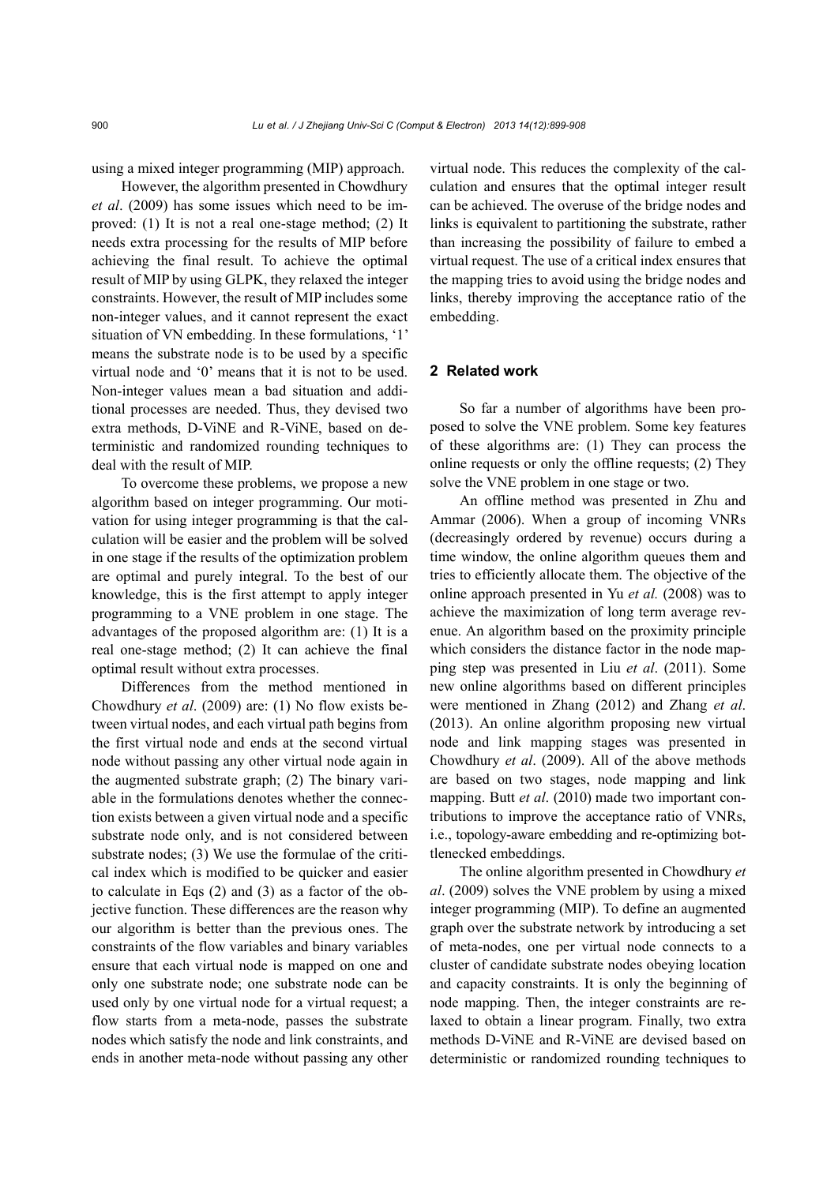using a mixed integer programming (MIP) approach.

However, the algorithm presented in Chowdhury *et al*. (2009) has some issues which need to be improved: (1) It is not a real one-stage method; (2) It needs extra processing for the results of MIP before achieving the final result. To achieve the optimal result of MIP by using GLPK, they relaxed the integer constraints. However, the result of MIP includes some non-integer values, and it cannot represent the exact situation of VN embedding. In these formulations, '1' means the substrate node is to be used by a specific virtual node and '0' means that it is not to be used. Non-integer values mean a bad situation and additional processes are needed. Thus, they devised two extra methods, D-ViNE and R-ViNE, based on deterministic and randomized rounding techniques to deal with the result of MIP.

To overcome these problems, we propose a new algorithm based on integer programming. Our motivation for using integer programming is that the calculation will be easier and the problem will be solved in one stage if the results of the optimization problem are optimal and purely integral. To the best of our knowledge, this is the first attempt to apply integer programming to a VNE problem in one stage. The advantages of the proposed algorithm are: (1) It is a real one-stage method; (2) It can achieve the final optimal result without extra processes.

Differences from the method mentioned in Chowdhury *et al*. (2009) are: (1) No flow exists between virtual nodes, and each virtual path begins from the first virtual node and ends at the second virtual node without passing any other virtual node again in the augmented substrate graph; (2) The binary variable in the formulations denotes whether the connection exists between a given virtual node and a specific substrate node only, and is not considered between substrate nodes; (3) We use the formulae of the critical index which is modified to be quicker and easier to calculate in Eqs (2) and (3) as a factor of the objective function. These differences are the reason why our algorithm is better than the previous ones. The constraints of the flow variables and binary variables ensure that each virtual node is mapped on one and only one substrate node; one substrate node can be used only by one virtual node for a virtual request; a flow starts from a meta-node, passes the substrate nodes which satisfy the node and link constraints, and ends in another meta-node without passing any other

virtual node. This reduces the complexity of the calculation and ensures that the optimal integer result can be achieved. The overuse of the bridge nodes and links is equivalent to partitioning the substrate, rather than increasing the possibility of failure to embed a virtual request. The use of a critical index ensures that the mapping tries to avoid using the bridge nodes and links, thereby improving the acceptance ratio of the embedding.

#### **2 Related work**

So far a number of algorithms have been proposed to solve the VNE problem. Some key features of these algorithms are: (1) They can process the online requests or only the offline requests; (2) They solve the VNE problem in one stage or two.

An offline method was presented in Zhu and Ammar (2006). When a group of incoming VNRs (decreasingly ordered by revenue) occurs during a time window, the online algorithm queues them and tries to efficiently allocate them. The objective of the online approach presented in Yu *et al.* (2008) was to achieve the maximization of long term average revenue. An algorithm based on the proximity principle which considers the distance factor in the node mapping step was presented in Liu *et al*. (2011). Some new online algorithms based on different principles were mentioned in Zhang (2012) and Zhang *et al*. (2013). An online algorithm proposing new virtual node and link mapping stages was presented in Chowdhury *et al*. (2009). All of the above methods are based on two stages, node mapping and link mapping. Butt *et al*. (2010) made two important contributions to improve the acceptance ratio of VNRs, i.e., topology-aware embedding and re-optimizing bottlenecked embeddings.

The online algorithm presented in Chowdhury *et al*. (2009) solves the VNE problem by using a mixed integer programming (MIP). To define an augmented graph over the substrate network by introducing a set of meta-nodes, one per virtual node connects to a cluster of candidate substrate nodes obeying location and capacity constraints. It is only the beginning of node mapping. Then, the integer constraints are relaxed to obtain a linear program. Finally, two extra methods D-ViNE and R-ViNE are devised based on deterministic or randomized rounding techniques to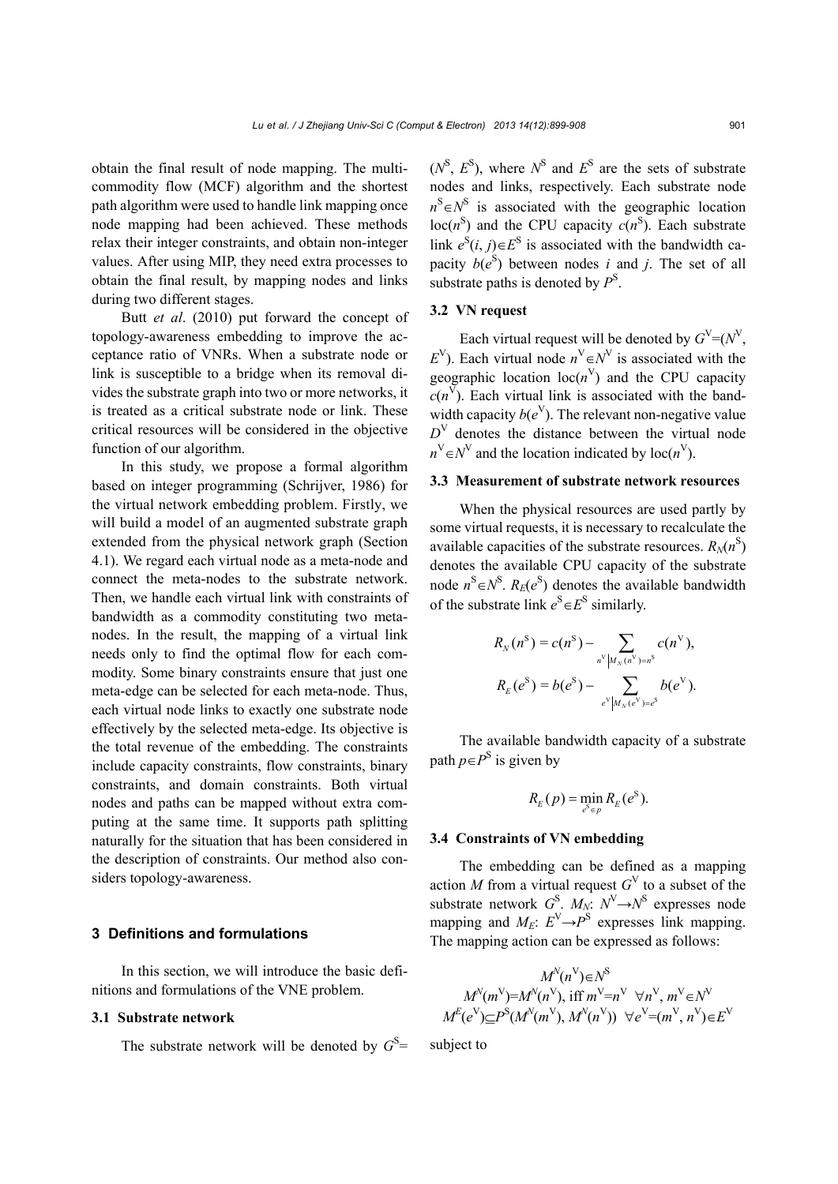obtain the final result of node mapping. The multicommodity flow (MCF) algorithm and the shortest path algorithm were used to handle link mapping once node mapping had been achieved. These methods relax their integer constraints, and obtain non-integer values. After using MIP, they need extra processes to obtain the final result, by mapping nodes and links during two different stages.

Butt *et al*. (2010) put forward the concept of topology-awareness embedding to improve the acceptance ratio of VNRs. When a substrate node or link is susceptible to a bridge when its removal divides the substrate graph into two or more networks, it is treated as a critical substrate node or link. These critical resources will be considered in the objective function of our algorithm.

In this study, we propose a formal algorithm based on integer programming (Schrijver, 1986) for the virtual network embedding problem. Firstly, we will build a model of an augmented substrate graph extended from the physical network graph (Section 4.1). We regard each virtual node as a meta-node and connect the meta-nodes to the substrate network. Then, we handle each virtual link with constraints of bandwidth as a commodity constituting two metanodes. In the result, the mapping of a virtual link needs only to find the optimal flow for each commodity. Some binary constraints ensure that just one meta-edge can be selected for each meta-node. Thus, each virtual node links to exactly one substrate node effectively by the selected meta-edge. Its objective is the total revenue of the embedding. The constraints include capacity constraints, flow constraints, binary constraints, and domain constraints. Both virtual nodes and paths can be mapped without extra computing at the same time. It supports path splitting naturally for the situation that has been considered in the description of constraints. Our method also considers topology-awareness.

## **3 Definitions and formulations**

In this section, we will introduce the basic definitions and formulations of the VNE problem.

#### **3.1 Substrate network**

The substrate network will be denoted by  $G^S$ =

 $(N^S, E^S)$ , where  $N^S$  and  $E^S$  are the sets of substrate nodes and links, respectively. Each substrate node  $n^{\text{S}} \in N^{\text{S}}$  is associated with the geographic location loc( $n^{\rm S}$ ) and the CPU capacity  $c(n^{\rm S})$ . Each substrate link  $e^{S}(i, j) \in E^{S}$  is associated with the bandwidth capacity  $b(e^{S})$  between nodes *i* and *j*. The set of all substrate paths is denoted by  $P^S$ .

## **3.2 VN request**

Each virtual request will be denoted by  $G^{V}=(N^{V})$ ,  $E^V$ ). Each virtual node  $n^V \in N^V$  is associated with the geographic location  $loc(n^V)$  and the CPU capacity  $c(n^V)$ . Each virtual link is associated with the bandwidth capacity  $b(e^V)$ . The relevant non-negative value  $D<sup>V</sup>$  denotes the distance between the virtual node  $n^V \in N^V$  and the location indicated by loc( $n^V$ ).

#### **3.3 Measurement of substrate network resources**

When the physical resources are used partly by some virtual requests, it is necessary to recalculate the available capacities of the substrate resources.  $R_N(n^S)$ denotes the available CPU capacity of the substrate node  $n^S \in N^S$ .  $R_E(e^S)$  denotes the available bandwidth of the substrate link  $e^{S} \in E^{S}$  similarly.

$$
R_N(n^S) = c(n^S) - \sum_{n^V | M_N(n^V) = n^S} c(n^V),
$$
  

$$
R_E(e^S) = b(e^S) - \sum_{e^V | M_N(e^V) = e^S} b(e^V).
$$

The available bandwidth capacity of a substrate path  $p \in P^S$  is given by

$$
R_E(p) = \min_{e^S \in p} R_E(e^S).
$$

#### **3.4 Constraints of VN embedding**

The embedding can be defined as a mapping action *M* from a virtual request  $G<sup>V</sup>$  to a subset of the substrate network  $G^S$ .  $M_N$ :  $N^V \rightarrow N^S$  expresses node mapping and  $M_E$ :  $E^V \rightarrow P^S$  expresses link mapping. The mapping action can be expressed as follows:

$$
M^{N}(n^{V}) \in N^{S}
$$
  
\n
$$
M^{N}(m^{V}) = M^{N}(n^{V}), \text{ iff } m^{V} = n^{V} \quad \forall n^{V}, m^{V} \in N^{V}
$$
  
\n
$$
M^{E}(e^{V}) \subseteq P^{S}(M^{V}(m^{V}), M^{V}(n^{V})) \quad \forall e^{V} = (m^{V}, n^{V}) \in E^{V}
$$

subject to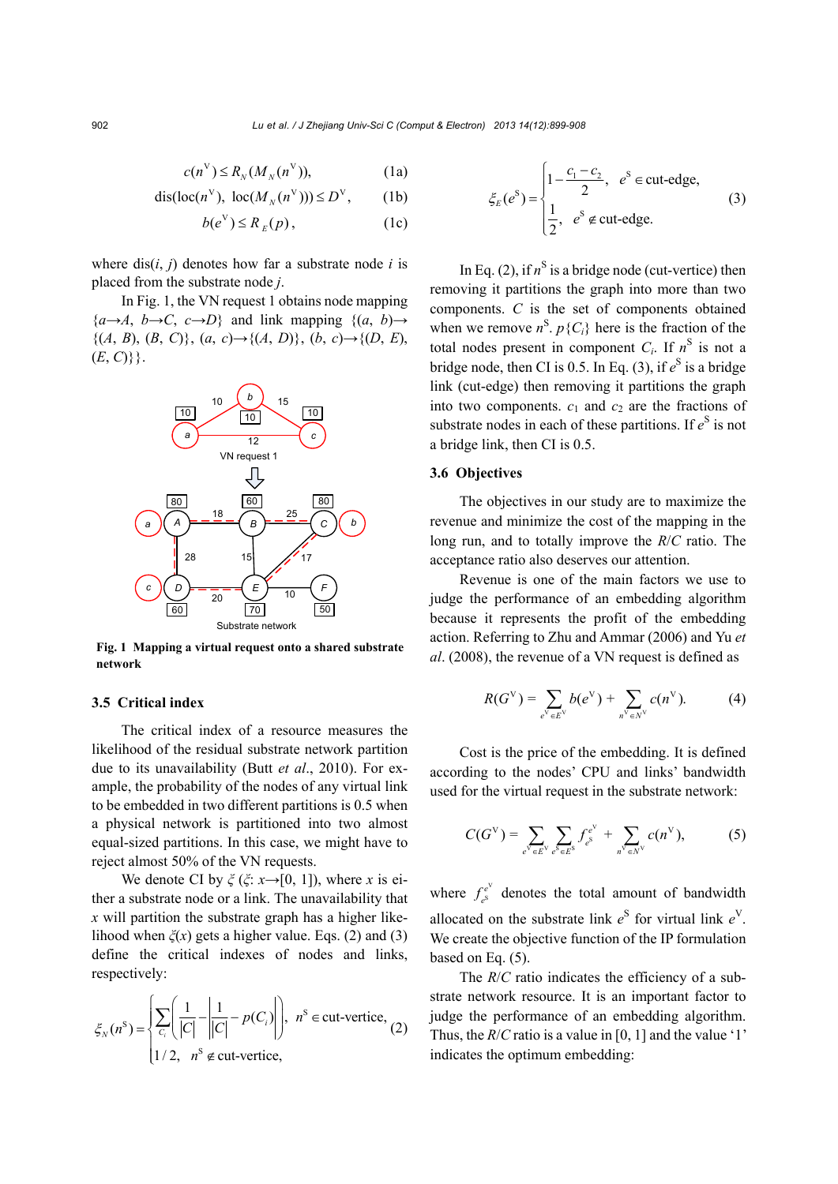$$
c(n^{\mathcal{V}}) \le R_N(M_N(n^{\mathcal{V}})),\tag{1a}
$$

$$
\text{dis}(\text{loc}(n^{\mathcal{V}}), \ \text{loc}(M_N(n^{\mathcal{V}}))) \le D^{\mathcal{V}}, \qquad (1b)
$$

$$
b(e^{\mathbf{V}}) \leq R_E(p), \tag{1c}
$$

where  $dis(i, j)$  denotes how far a substrate node *i* is placed from the substrate node *j*.

In Fig. 1, the VN request 1 obtains node mapping  ${a \rightarrow A, b \rightarrow C, c \rightarrow D}$  and link mapping  ${(a, b) \rightarrow b \rightarrow C, c \rightarrow D}$  ${(A, B), (B, C)}, (a, c) \rightarrow {(A, D)}, (b, c) \rightarrow {(D, E)},$  $(E, C) \}.$ 



**Fig. 1 Mapping a virtual request onto a shared substrate network** 

## **3.5 Critical index**

The critical index of a resource measures the likelihood of the residual substrate network partition due to its unavailability (Butt *et al*., 2010). For example, the probability of the nodes of any virtual link to be embedded in two different partitions is 0.5 when a physical network is partitioned into two almost equal-sized partitions. In this case, we might have to reject almost 50% of the VN requests.

We denote CI by  $\xi$  ( $\xi$ :  $x \rightarrow [0, 1]$ ), where *x* is either a substrate node or a link. The unavailability that *x* will partition the substrate graph has a higher likelihood when  $\zeta(x)$  gets a higher value. Eqs. (2) and (3) define the critical indexes of nodes and links, respectively:

$$
\xi_N(n^s) = \begin{cases} \sum_{C_i} \left( \frac{1}{|C|} - \left| \frac{1}{|C|} - p(C_i) \right| \right), & n^s \in \text{cut-vertices}, \\ 1/2, & n^s \notin \text{cut-vertices}, \end{cases} (2)
$$

$$
\xi_E(e^S) = \begin{cases}\n1 - \frac{c_1 - c_2}{2}, & e^S \in \text{cut-edge}, \\
\frac{1}{2}, & e^S \notin \text{cut-edge}.\n\end{cases}
$$
\n(3)

In Eq. (2), if  $n^S$  is a bridge node (cut-vertice) then removing it partitions the graph into more than two components. *C* is the set of components obtained when we remove  $n^S$ .  $p\{C_i\}$  here is the fraction of the total nodes present in component  $C_i$ . If  $n<sup>S</sup>$  is not a bridge node, then CI is 0.5. In Eq.  $(3)$ , if  $e^{S}$  is a bridge link (cut-edge) then removing it partitions the graph into two components.  $c_1$  and  $c_2$  are the fractions of substrate nodes in each of these partitions. If  $e^{\text{S}}$  is not a bridge link, then CI is 0.5.

## **3.6 Objectives**

The objectives in our study are to maximize the revenue and minimize the cost of the mapping in the long run, and to totally improve the *R*/*C* ratio. The acceptance ratio also deserves our attention.

Revenue is one of the main factors we use to judge the performance of an embedding algorithm because it represents the profit of the embedding action. Referring to Zhu and Ammar (2006) and Yu *et al*. (2008), the revenue of a VN request is defined as

$$
R(G^{V}) = \sum_{e^{V} \in E^{V}} b(e^{V}) + \sum_{n^{V} \in N^{V}} c(n^{V}).
$$
 (4)

Cost is the price of the embedding. It is defined according to the nodes' CPU and links' bandwidth used for the virtual request in the substrate network:

$$
C(G^{V}) = \sum_{e^{V} \in E^{V}} \sum_{e^{S} \in E^{S}} f_{e^{S}}^{e^{V}} + \sum_{n^{V} \in N^{V}} c(n^{V}),
$$
 (5)

where  $f_s^{e^V}$  $f_e^{\epsilon}$  denotes the total amount of bandwidth allocated on the substrate link  $e^S$  for virtual link  $e^V$ . We create the objective function of the IP formulation based on Eq. (5).

The *R/C* ratio indicates the efficiency of a substrate network resource. It is an important factor to judge the performance of an embedding algorithm. Thus, the *R*/*C* ratio is a value in [0, 1] and the value '1' indicates the optimum embedding: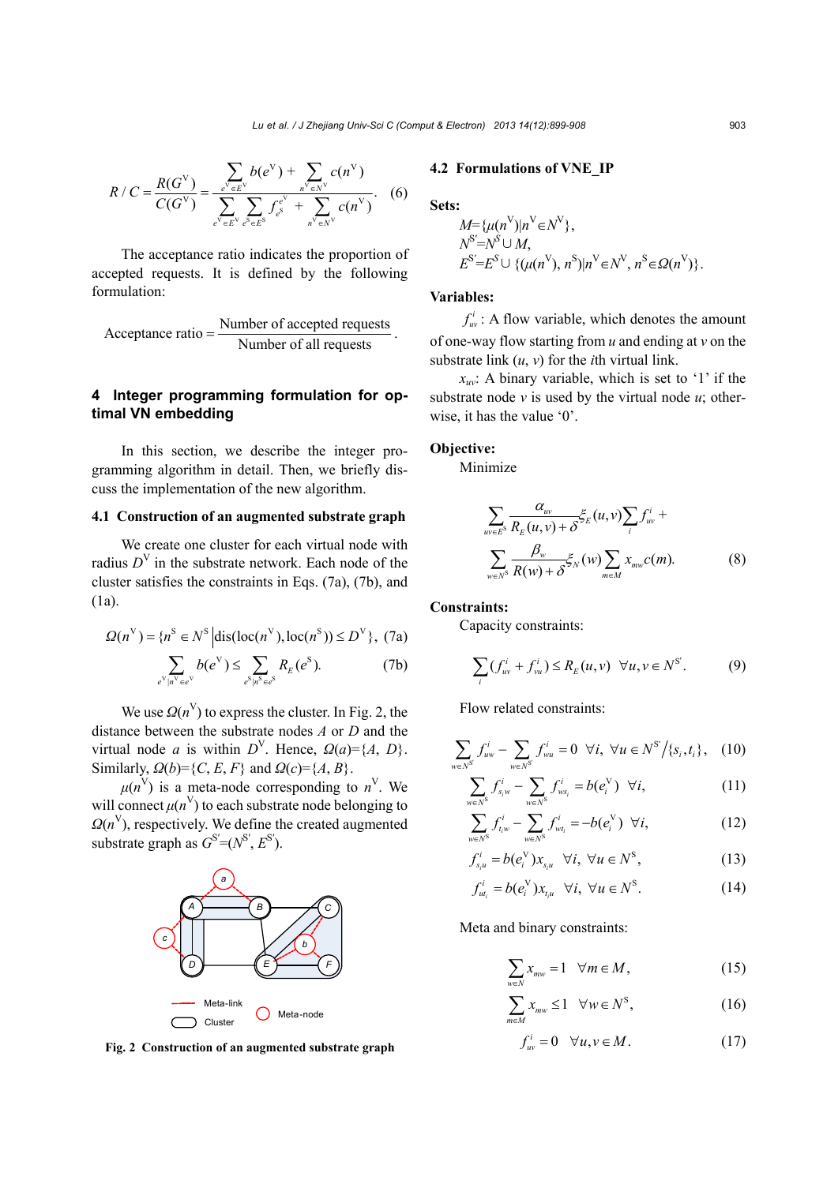$$
R/C = \frac{R(G^{V})}{C(G^{V})} = \frac{\sum_{e^{V} \in E^{V}} b(e^{V}) + \sum_{n^{V} \in N^{V}} c(n^{V})}{\sum_{e^{V} \in E^{V}} \sum_{e^{S} \in E^{S}} f_{e^{S}}^{e^{V}} + \sum_{n^{V} \in N^{V}} c(n^{V})}.
$$
 (6)

The acceptance ratio indicates the proportion of accepted requests. It is defined by the following formulation:

Acceptance ratio = 
$$
\frac{\text{Number of accepted requests}}{\text{Number of all requests}}.
$$

## **4 Integer programming formulation for optimal VN embedding**

In this section, we describe the integer programming algorithm in detail. Then, we briefly discuss the implementation of the new algorithm.

## **4.1 Construction of an augmented substrate graph**

We create one cluster for each virtual node with radius  $D^V$  in the substrate network. Each node of the cluster satisfies the constraints in Eqs. (7a), (7b), and (1a).

$$
\Omega(n^{V}) = \{n^{S} \in N^{S} | \text{dis}(\text{loc}(n^{V}), \text{loc}(n^{S})) \le D^{V}\}, (7a)
$$

$$
\sum_{e^{\vee}|n^{\vee}\in e^{\vee}}b(e^{\vee})\leq \sum_{e^{\aleph}|n^{\aleph}\in e^{\aleph}}R_{E}(e^{\aleph}).
$$
 (7b)

We use  $\Omega(n^V)$  to express the cluster. In Fig. 2, the distance between the substrate nodes *A* or *D* and the virtual node *a* is within  $D^V$ . Hence,  $Q(a)=\{A, D\}$ . Similarly,  $Q(b)=\{C, E, F\}$  and  $Q(c)=\{A, B\}$ .

 $\mu(n^V)$  is a meta-node corresponding to  $n^V$ . We will connect  $\mu(n^V)$  to each substrate node belonging to  $Q(n^V)$ , respectively. We define the created augmented substrate graph as  $G^{S'}=(N^{S'}, E^{S'})$ .



**Fig. 2 Construction of an augmented substrate graph** 

## **4.2 Formulations of VNE\_IP**

**Sets:** 

$$
M = {\mu(n^V) | n^V \in N^V} \nN^S' = N^S \cup M, \nE^S' = E^S \cup {\mu(n^V), n^S} | n^V \in N^V, n^S \in \Omega(n^V) }.
$$

#### **Variables:**

 $f_{uv}^i$ : A flow variable, which denotes the amount of one-way flow starting from *u* and ending at *v* on the substrate link  $(u, v)$  for the *i*th virtual link.

 $x_{uv}$ : A binary variable, which is set to '1' if the substrate node  $\nu$  is used by the virtual node  $u$ ; otherwise, it has the value '0'.

## **Objective:**

Minimize

$$
\sum_{uv \in E^S} \frac{\alpha_w}{R_E(u, v) + \delta} \xi_E(u, v) \sum_i f_w^i +
$$
\n
$$
\sum_{w \in N^S} \frac{\beta_w}{R(w) + \delta} \xi_N(w) \sum_{m \in M} x_{mw} c(m).
$$
\n(8)

#### **Constraints:**

Capacity constraints:

$$
\sum_{i} (f_{uv}^{i} + f_{vu}^{i}) \le R_{E}(u, v) \ \forall u, v \in N^{S'}.
$$
 (9)

Flow related constraints:

$$
\sum_{w \in N^S} f_{uw}^i - \sum_{w \in N^S} f_{wu}^i = 0 \ \ \forall i, \ \forall u \in N^S / \{s_i, t_i\}, \ \ (10)
$$

$$
\sum_{w \in N^S} f_{s_i w}^i - \sum_{w \in N^S} f_{ws_i}^i = b(e_i^{\vee}) \ \forall i,
$$
 (11)

$$
\sum_{w \in N^S} f_{t_i w}^i - \sum_{w \in N^S} f_{wt_i}^i = -b(e_i^{\vee}) \ \forall i,
$$
 (12)

$$
f_{s,u}^{i} = b(e_{i}^{V})x_{s,u} \quad \forall i, \ \forall u \in N^{S}, \tag{13}
$$

$$
f_{u_i}^i = b(e_i^V) x_{t_i u} \ \forall i, \ \forall u \in N^S.
$$
 (14)

Meta and binary constraints:

$$
\sum_{w \in N} x_{mw} = 1 \quad \forall m \in M,
$$
\n(15)

$$
\sum_{m \in M} x_{mv} \le 1 \quad \forall w \in N^S,
$$
\n(16)

$$
f_w^i = 0 \quad \forall u, v \in M. \tag{17}
$$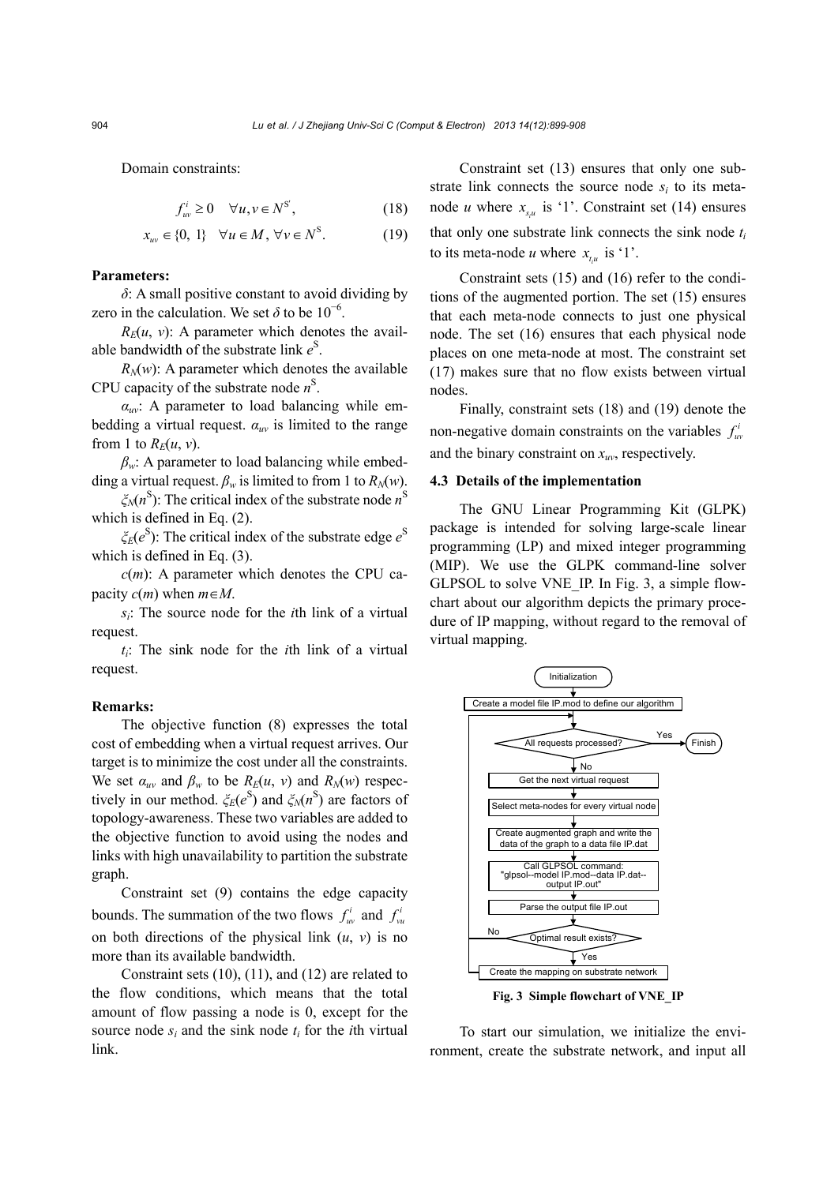Domain constraints:

$$
f_{uv}^i \ge 0 \quad \forall u, v \in N^{S'}, \tag{18}
$$

$$
x_{uv} \in \{0, 1\} \quad \forall u \in M, \,\forall v \in N^S. \tag{19}
$$

#### **Parameters:**

*δ*: A small positive constant to avoid dividing by zero in the calculation. We set  $\delta$  to be 10<sup>-6</sup>.

 $R_E(u, v)$ : A parameter which denotes the available bandwidth of the substrate link *e* S .

 $R_N(w)$ : A parameter which denotes the available CPU capacity of the substrate node  $n^S$ .

*αuv*: A parameter to load balancing while embedding a virtual request. *αuv* is limited to the range from 1 to  $R_E(u, v)$ .

 $\beta_w$ : A parameter to load balancing while embedding a virtual request.  $\beta_w$  is limited to from 1 to  $R_N(w)$ .

*ξN*(*n* S ): The critical index of the substrate node *n* S which is defined in Eq. (2).

*ξE*(*e* S ): The critical index of the substrate edge *e* S which is defined in Eq. (3).

 $c(m)$ : A parameter which denotes the CPU capacity  $c(m)$  when  $m \in M$ .

*si*: The source node for the *i*th link of a virtual request.

*ti*: The sink node for the *i*th link of a virtual request.

### **Remarks:**

The objective function (8) expresses the total cost of embedding when a virtual request arrives. Our target is to minimize the cost under all the constraints. We set  $\alpha_{uv}$  and  $\beta_w$  to be  $R_E(u, v)$  and  $R_N(w)$  respectively in our method. *ξE*(*e* S ) and *ξN*(*n* S ) are factors of topology-awareness. These two variables are added to the objective function to avoid using the nodes and links with high unavailability to partition the substrate graph.

Constraint set (9) contains the edge capacity bounds. The summation of the two flows  $f_w^i$  and  $f_w^i$ on both directions of the physical link  $(u, v)$  is no more than its available bandwidth.

Constraint sets (10), (11), and (12) are related to the flow conditions, which means that the total amount of flow passing a node is 0, except for the source node  $s_i$  and the sink node  $t_i$  for the *i*th virtual link.

Constraint set (13) ensures that only one substrate link connects the source node  $s_i$  to its metanode *u* where  $x_{y}$  is '1'. Constraint set (14) ensures that only one substrate link connects the sink node *ti* to its meta-node *u* where  $x_{i,j}$  is '1'.

Constraint sets (15) and (16) refer to the conditions of the augmented portion. The set (15) ensures that each meta-node connects to just one physical node. The set (16) ensures that each physical node places on one meta-node at most. The constraint set (17) makes sure that no flow exists between virtual nodes.

Finally, constraint sets (18) and (19) denote the non-negative domain constraints on the variables  $f_w^i$ and the binary constraint on  $x_{uv}$ , respectively.

#### **4.3 Details of the implementation**

The GNU Linear Programming Kit (GLPK) package is intended for solving large-scale linear programming (LP) and mixed integer programming (MIP). We use the GLPK command-line solver GLPSOL to solve VNE IP. In Fig. 3, a simple flowchart about our algorithm depicts the primary procedure of IP mapping, without regard to the removal of virtual mapping.



**Fig. 3 Simple flowchart of VNE\_IP** 

To start our simulation, we initialize the environment, create the substrate network, and input all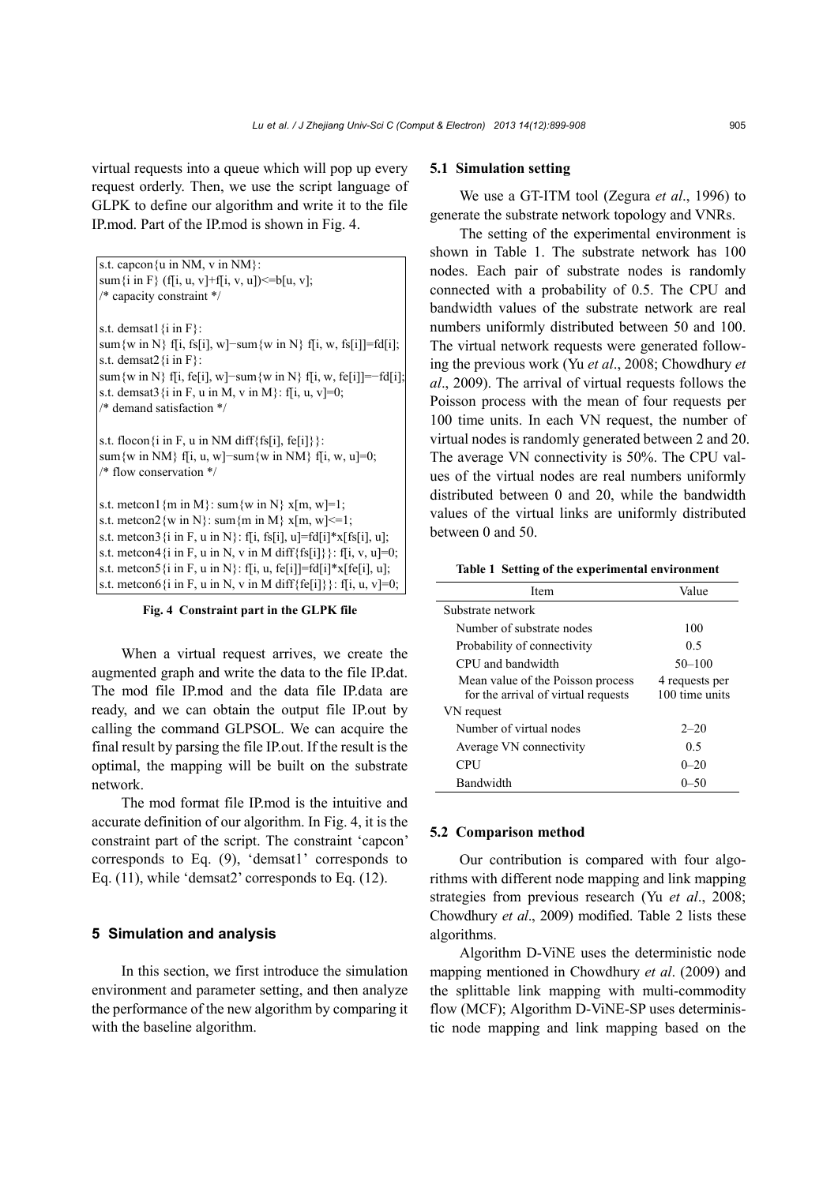virtual requests into a queue which will pop up every request orderly. Then, we use the script language of GLPK to define our algorithm and write it to the file IP.mod. Part of the IP.mod is shown in Fig. 4.

s.t. capcon $\{u \in \text{NM}, v \in \text{NM}\}$ :  $|\text{sum}\{i \text{ in } F\}$  (f[i, u, v]+f[i, v, u]) $\le$ =b[u, v]; /\* capacity constraint \*/

s.t. demsat1 $\{i \text{ in } F\}$ : sum{w in N} f[i, fs[i], w]-sum{w in N} f[i, w, fs[i]]=fd[i]; s.t. demsat2{i in F}: sum{w in N} f[i, fe[i], w]-sum{w in N} f[i, w, fe[i]]=-fd[i]; s.t. demsat3 {i in F, u in M, v in M}: f[i, u, v]=0; /\* demand satisfaction \*/

s.t. flocon $\{i$  in F, u in NM diff $\{fs[i], fe[i]\}\}$ : sum{w in NM} f[i, u, w]–sum{w in NM} f[i, w, u]=0; /\* flow conservation \*/

s.t. metcon1 {m in M}: sum {w in N}  $x[m, w]=1$ ; s.t. metcon2 {w in N}: sum {m in M}  $x[m, w] \le 1$ ; s.t. metcon3  $\{i \in F, u \in N\}$ : f[i, fs[i], u]=fd[i]\*x[fs[i], u]; s.t. metcon4 $\{i \in F, u \in N, v \in M \}$  diff $\{fs[i]\}\}$ : f[i, v, u]=0; s.t. metcon5 {i in F, u in N}: f[i, u, fe[i]]=fd[i]\*x[fe[i], u]; s.t. metcon6{i in F, u in N, v in M diff{fe[i]}}: f[i, u, v]=0;

**Fig. 4 Constraint part in the GLPK file** 

When a virtual request arrives, we create the augmented graph and write the data to the file IP.dat. The mod file IP.mod and the data file IP.data are ready, and we can obtain the output file IP.out by calling the command GLPSOL. We can acquire the final result by parsing the file IP.out. If the result is the optimal, the mapping will be built on the substrate network.

The mod format file IP.mod is the intuitive and accurate definition of our algorithm. In Fig. 4, it is the constraint part of the script. The constraint 'capcon' corresponds to Eq. (9), 'demsat1' corresponds to Eq. (11), while 'demsat2' corresponds to Eq. (12).

## **5 Simulation and analysis**

In this section, we first introduce the simulation environment and parameter setting, and then analyze the performance of the new algorithm by comparing it with the baseline algorithm.

#### **5.1 Simulation setting**

We use a GT-ITM tool (Zegura *et al*., 1996) to generate the substrate network topology and VNRs.

The setting of the experimental environment is shown in Table 1. The substrate network has 100 nodes. Each pair of substrate nodes is randomly connected with a probability of 0.5. The CPU and bandwidth values of the substrate network are real numbers uniformly distributed between 50 and 100. The virtual network requests were generated following the previous work (Yu *et al*., 2008; Chowdhury *et al*., 2009). The arrival of virtual requests follows the Poisson process with the mean of four requests per 100 time units. In each VN request, the number of virtual nodes is randomly generated between 2 and 20. The average VN connectivity is 50%. The CPU values of the virtual nodes are real numbers uniformly distributed between 0 and 20, while the bandwidth values of the virtual links are uniformly distributed between 0 and 50.

**Table 1 Setting of the experimental environment**

| Item                                | Value          |
|-------------------------------------|----------------|
| Substrate network                   |                |
| Number of substrate nodes           | 100            |
| Probability of connectivity         | 0.5            |
| CPU and bandwidth                   | $50 - 100$     |
| Mean value of the Poisson process   | 4 requests per |
| for the arrival of virtual requests | 100 time units |
| VN request                          |                |
| Number of virtual nodes             | $2 - 20$       |
| Average VN connectivity             | 0.5            |
| <b>CPU</b>                          | $0 - 20$       |
| Bandwidth                           | 0–50           |

#### **5.2 Comparison method**

Our contribution is compared with four algorithms with different node mapping and link mapping strategies from previous research (Yu *et al*., 2008; Chowdhury *et al*., 2009) modified. Table 2 lists these algorithms.

Algorithm D-ViNE uses the deterministic node mapping mentioned in Chowdhury *et al*. (2009) and the splittable link mapping with multi-commodity flow (MCF); Algorithm D-ViNE-SP uses deterministic node mapping and link mapping based on the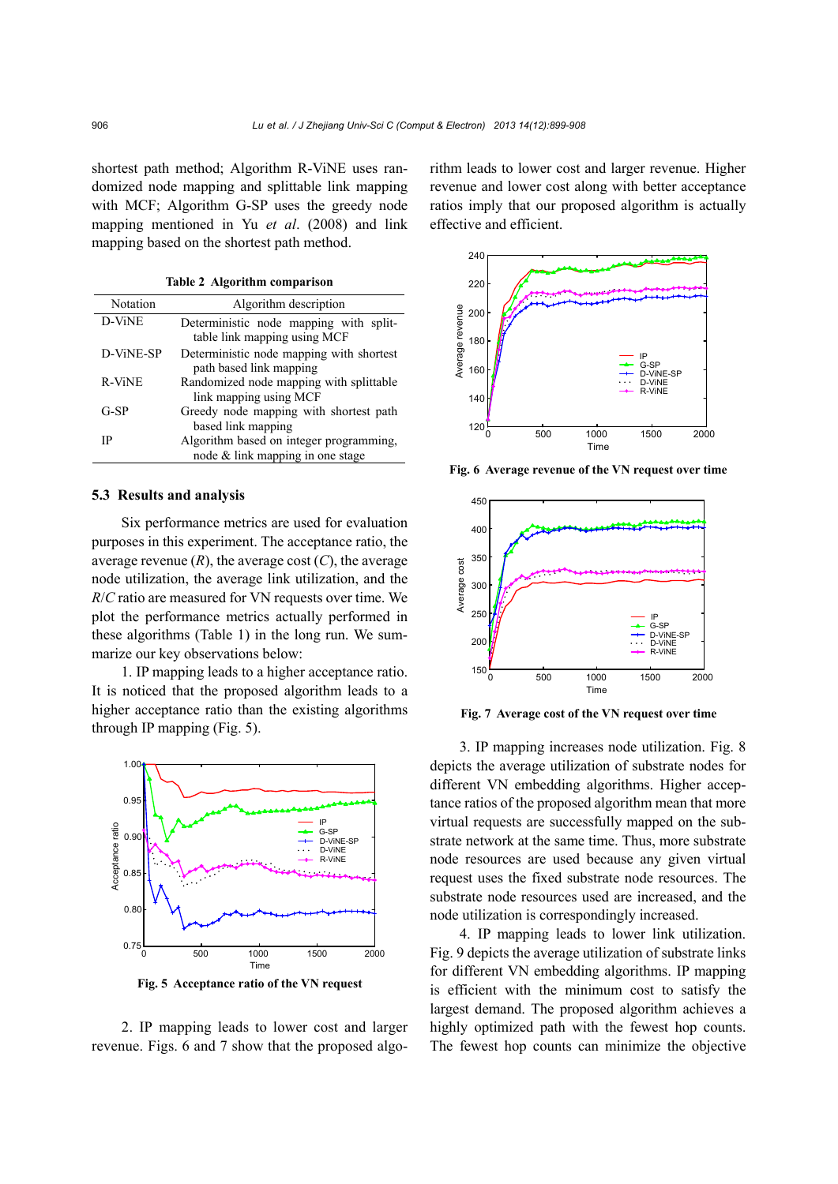shortest path method; Algorithm R-ViNE uses randomized node mapping and splittable link mapping with MCF; Algorithm G-SP uses the greedy node mapping mentioned in Yu *et al*. (2008) and link mapping based on the shortest path method.

**Table 2 Algorithm comparison** 

| Notation      | Algorithm description                                                       |
|---------------|-----------------------------------------------------------------------------|
| D-ViNE        | Deterministic node mapping with split-<br>table link mapping using MCF      |
| D-ViNE-SP     | Deterministic node mapping with shortest<br>path based link mapping         |
| <b>R-VINE</b> | Randomized node mapping with splittable<br>link mapping using MCF           |
| G-SP          | Greedy node mapping with shortest path<br>based link mapping                |
| ΙP            | Algorithm based on integer programming,<br>node & link mapping in one stage |

#### **5.3 Results and analysis**

Six performance metrics are used for evaluation purposes in this experiment. The acceptance ratio, the average revenue  $(R)$ , the average cost  $(C)$ , the average node utilization, the average link utilization, and the *R*/*C* ratio are measured for VN requests over time. We plot the performance metrics actually performed in these algorithms (Table 1) in the long run. We summarize our key observations below:

1. IP mapping leads to a higher acceptance ratio. It is noticed that the proposed algorithm leads to a higher acceptance ratio than the existing algorithms through IP mapping (Fig. 5).



**Fig. 5 Acceptance ratio of the VN request** 

2. IP mapping leads to lower cost and larger revenue. Figs. 6 and 7 show that the proposed algorithm leads to lower cost and larger revenue. Higher revenue and lower cost along with better acceptance ratios imply that our proposed algorithm is actually effective and efficient.



**Fig. 6 Average revenue of the VN request over time** 



**Fig. 7 Average cost of the VN request over time** 

3. IP mapping increases node utilization. Fig. 8 depicts the average utilization of substrate nodes for different VN embedding algorithms. Higher acceptance ratios of the proposed algorithm mean that more virtual requests are successfully mapped on the substrate network at the same time. Thus, more substrate node resources are used because any given virtual request uses the fixed substrate node resources. The substrate node resources used are increased, and the node utilization is correspondingly increased.

4. IP mapping leads to lower link utilization. Fig. 9 depicts the average utilization of substrate links for different VN embedding algorithms. IP mapping is efficient with the minimum cost to satisfy the largest demand. The proposed algorithm achieves a highly optimized path with the fewest hop counts. The fewest hop counts can minimize the objective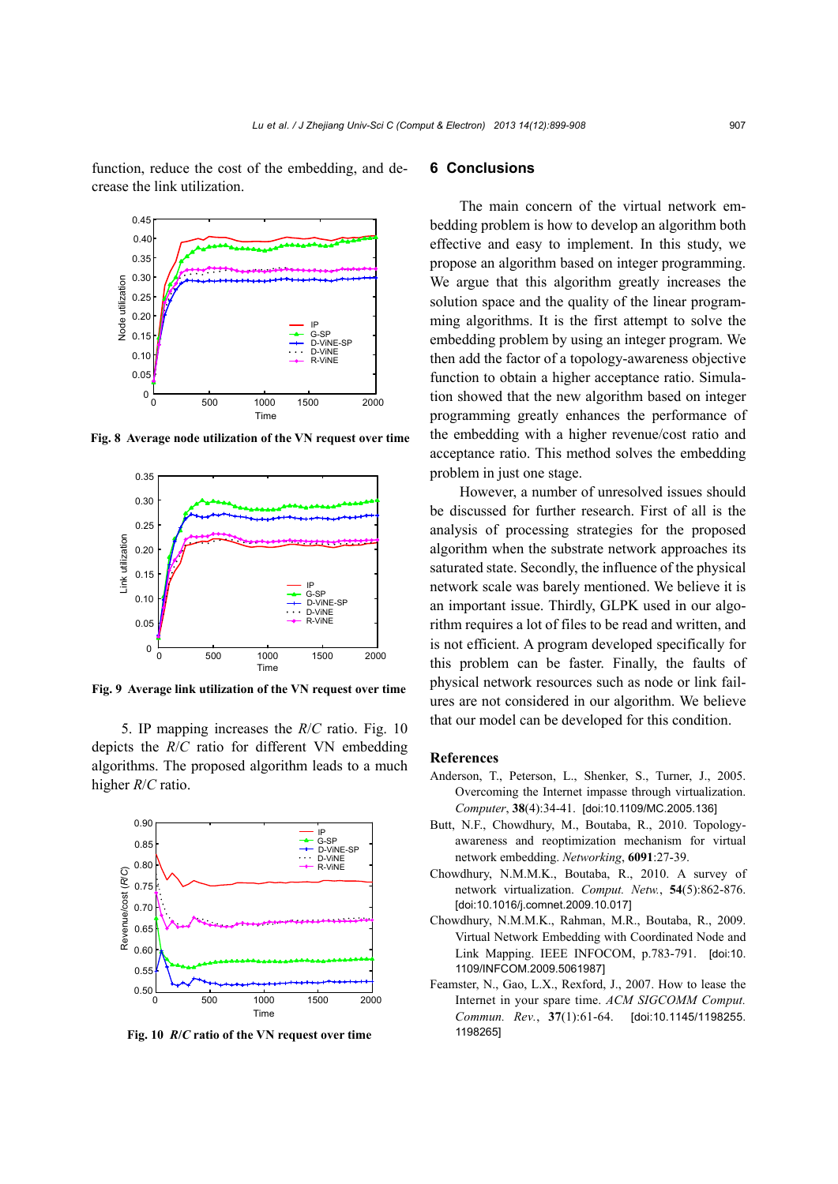function, reduce the cost of the embedding, and decrease the link utilization.



**Fig. 8 Average node utilization of the VN request over time**



**Fig. 9 Average link utilization of the VN request over time**

5. IP mapping increases the *R*/*C* ratio. Fig. 10 depicts the *R*/*C* ratio for different VN embedding algorithms. The proposed algorithm leads to a much higher *R*/*C* ratio.



**Fig. 10** *R***/***C* **ratio of the VN request over time** 

## **6 Conclusions**

The main concern of the virtual network embedding problem is how to develop an algorithm both effective and easy to implement. In this study, we propose an algorithm based on integer programming. We argue that this algorithm greatly increases the solution space and the quality of the linear programming algorithms. It is the first attempt to solve the embedding problem by using an integer program. We then add the factor of a topology-awareness objective function to obtain a higher acceptance ratio. Simulation showed that the new algorithm based on integer programming greatly enhances the performance of the embedding with a higher revenue/cost ratio and acceptance ratio. This method solves the embedding problem in just one stage.

However, a number of unresolved issues should be discussed for further research. First of all is the analysis of processing strategies for the proposed algorithm when the substrate network approaches its saturated state. Secondly, the influence of the physical network scale was barely mentioned. We believe it is an important issue. Thirdly, GLPK used in our algorithm requires a lot of files to be read and written, and is not efficient. A program developed specifically for this problem can be faster. Finally, the faults of physical network resources such as node or link failures are not considered in our algorithm. We believe that our model can be developed for this condition.

#### **References**

- Anderson, T., Peterson, L., Shenker, S., Turner, J., 2005. Overcoming the Internet impasse through virtualization. *Computer*, **38**(4):34-41. [doi:10.1109/MC.2005.136]
- Butt, N.F., Chowdhury, M., Boutaba, R., 2010. Topologyawareness and reoptimization mechanism for virtual network embedding. *Networking*, **6091**:27-39.
- Chowdhury, N.M.M.K., Boutaba, R., 2010. A survey of network virtualization. *Comput. Netw.*, **54**(5):862-876. [doi:10.1016/j.comnet.2009.10.017]
- Chowdhury, N.M.M.K., Rahman, M.R., Boutaba, R., 2009. Virtual Network Embedding with Coordinated Node and Link Mapping. IEEE INFOCOM, p.783-791. [doi:10. 1109/INFCOM.2009.5061987]
- Feamster, N., Gao, L.X., Rexford, J., 2007. How to lease the Internet in your spare time. *ACM SIGCOMM Comput. Commun. Rev.*, **37**(1):61-64. [doi:10.1145/1198255. 1198265]